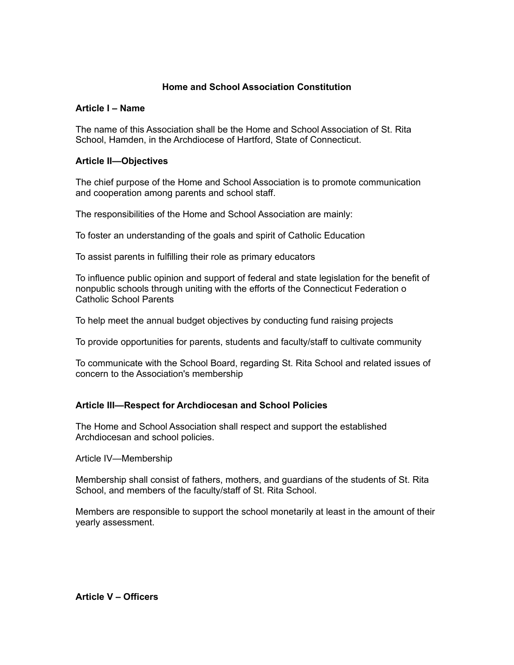# **Home and School Association Constitution**

### **Article I – Name**

The name of this Association shall be the Home and School Association of St. Rita School, Hamden, in the Archdiocese of Hartford, State of Connecticut.

### **Article II—Objectives**

The chief purpose of the Home and School Association is to promote communication and cooperation among parents and school staff.

The responsibilities of the Home and School Association are mainly:

To foster an understanding of the goals and spirit of Catholic Education

To assist parents in fulfilling their role as primary educators

To influence public opinion and support of federal and state legislation for the benefit of nonpublic schools through uniting with the efforts of the Connecticut Federation o Catholic School Parents

To help meet the annual budget objectives by conducting fund raising projects

To provide opportunities for parents, students and faculty/staff to cultivate community

To communicate with the School Board, regarding St. Rita School and related issues of concern to the Association's membership

# **Article III—Respect for Archdiocesan and School Policies**

The Home and School Association shall respect and support the established Archdiocesan and school policies.

Article IV—Membership

Membership shall consist of fathers, mothers, and guardians of the students of St. Rita School, and members of the faculty/staff of St. Rita School.

Members are responsible to support the school monetarily at least in the amount of their yearly assessment.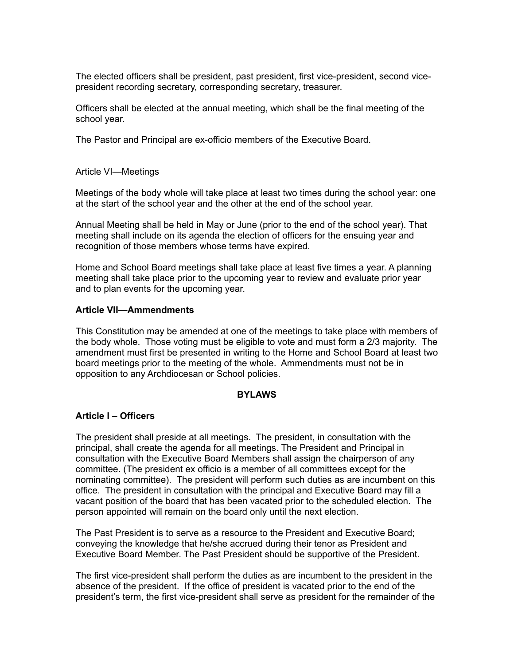The elected officers shall be president, past president, first vice-president, second vicepresident recording secretary, corresponding secretary, treasurer.

Officers shall be elected at the annual meeting, which shall be the final meeting of the school year.

The Pastor and Principal are ex-officio members of the Executive Board.

Article VI—Meetings

Meetings of the body whole will take place at least two times during the school year: one at the start of the school year and the other at the end of the school year.

Annual Meeting shall be held in May or June (prior to the end of the school year). That meeting shall include on its agenda the election of officers for the ensuing year and recognition of those members whose terms have expired.

Home and School Board meetings shall take place at least five times a year. A planning meeting shall take place prior to the upcoming year to review and evaluate prior year and to plan events for the upcoming year.

#### **Article VII—Ammendments**

This Constitution may be amended at one of the meetings to take place with members of the body whole. Those voting must be eligible to vote and must form a 2/3 majority. The amendment must first be presented in writing to the Home and School Board at least two board meetings prior to the meeting of the whole. Ammendments must not be in opposition to any Archdiocesan or School policies.

#### **BYLAWS**

### **Article I – Officers**

The president shall preside at all meetings. The president, in consultation with the principal, shall create the agenda for all meetings. The President and Principal in consultation with the Executive Board Members shall assign the chairperson of any committee. (The president ex officio is a member of all committees except for the nominating committee). The president will perform such duties as are incumbent on this office. The president in consultation with the principal and Executive Board may fill a vacant position of the board that has been vacated prior to the scheduled election. The person appointed will remain on the board only until the next election.

The Past President is to serve as a resource to the President and Executive Board; conveying the knowledge that he/she accrued during their tenor as President and Executive Board Member. The Past President should be supportive of the President.

The first vice-president shall perform the duties as are incumbent to the president in the absence of the president. If the office of president is vacated prior to the end of the president's term, the first vice-president shall serve as president for the remainder of the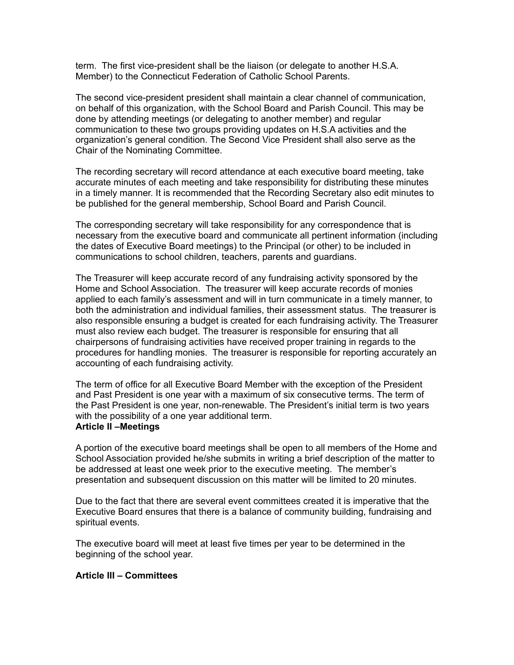term. The first vice-president shall be the liaison (or delegate to another H.S.A. Member) to the Connecticut Federation of Catholic School Parents.

The second vice-president president shall maintain a clear channel of communication, on behalf of this organization, with the School Board and Parish Council. This may be done by attending meetings (or delegating to another member) and regular communication to these two groups providing updates on H.S.A activities and the organization's general condition. The Second Vice President shall also serve as the Chair of the Nominating Committee.

The recording secretary will record attendance at each executive board meeting, take accurate minutes of each meeting and take responsibility for distributing these minutes in a timely manner. It is recommended that the Recording Secretary also edit minutes to be published for the general membership, School Board and Parish Council.

The corresponding secretary will take responsibility for any correspondence that is necessary from the executive board and communicate all pertinent information (including the dates of Executive Board meetings) to the Principal (or other) to be included in communications to school children, teachers, parents and guardians.

The Treasurer will keep accurate record of any fundraising activity sponsored by the Home and School Association. The treasurer will keep accurate records of monies applied to each family's assessment and will in turn communicate in a timely manner, to both the administration and individual families, their assessment status. The treasurer is also responsible ensuring a budget is created for each fundraising activity. The Treasurer must also review each budget. The treasurer is responsible for ensuring that all chairpersons of fundraising activities have received proper training in regards to the procedures for handling monies. The treasurer is responsible for reporting accurately an accounting of each fundraising activity.

The term of office for all Executive Board Member with the exception of the President and Past President is one year with a maximum of six consecutive terms. The term of the Past President is one year, non-renewable. The President's initial term is two years with the possibility of a one year additional term.

### **Article II –Meetings**

A portion of the executive board meetings shall be open to all members of the Home and School Association provided he/she submits in writing a brief description of the matter to be addressed at least one week prior to the executive meeting. The member's presentation and subsequent discussion on this matter will be limited to 20 minutes.

Due to the fact that there are several event committees created it is imperative that the Executive Board ensures that there is a balance of community building, fundraising and spiritual events.

The executive board will meet at least five times per year to be determined in the beginning of the school year.

#### **Article III – Committees**